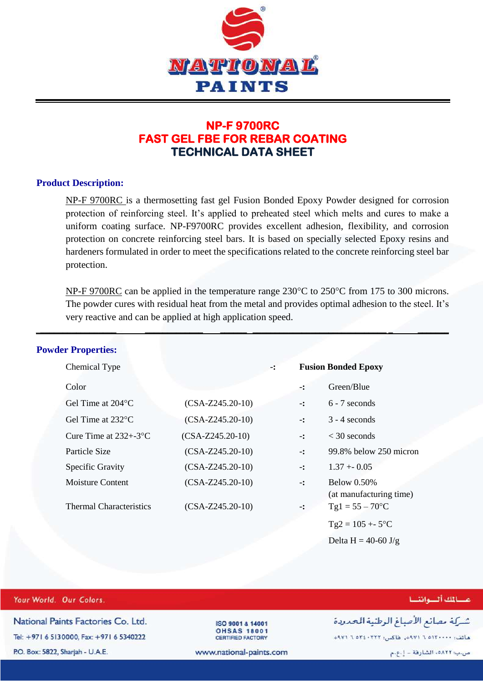

## **NP-F 9700RC FAST GEL FBE FOR REBAR COATING TECHNICAL DATA SHEET**

## **Product Description:**

NP-F 9700RC is a thermosetting fast gel Fusion Bonded Epoxy Powder designed for corrosion protection of reinforcing steel. It's applied to preheated steel which melts and cures to make a uniform coating surface. NP-F9700RC provides excellent adhesion, flexibility, and corrosion protection on concrete reinforcing steel bars. It is based on specially selected Epoxy resins and hardeners formulated in order to meet the specifications related to the concrete reinforcing steel bar protection.

NP-F 9700RC can be applied in the temperature range  $230^{\circ}$ C to  $250^{\circ}$ C from 175 to 300 microns. The powder cures with residual heat from the metal and provides optimal adhesion to the steel. It's very reactive and can be applied at high application speed.

\_**\_\_\_\_\_\_\_\_\_\_\_\_\_\_\_\_\_ \_\_\_\_\_\_\_\_\_\_\_\_\_ \_\_\_\_\_\_ \_\_\_\_\_\_\_\_\_\_\_\_\_\_\_\_\_\_\_\_\_\_\_\_\_\_\_\_\_\_ \_ \_\_\_\_\_\_\_** 

| <b>Powder Properties:</b>              |                    |    |                            |                                               |  |
|----------------------------------------|--------------------|----|----------------------------|-----------------------------------------------|--|
| Chemical Type                          |                    | -: | <b>Fusion Bonded Epoxy</b> |                                               |  |
| Color                                  |                    |    | -:                         | Green/Blue                                    |  |
| Gel Time at $204^{\circ}$ C            | $(CSA-Z245.20-10)$ |    | $-1$                       | $6 - 7$ seconds                               |  |
| Gel Time at $232^{\circ}$ C            | $(CSA-Z245.20-10)$ |    | $-1$                       | $3 - 4$ seconds                               |  |
| Cure Time at $232 + -3$ <sup>o</sup> C | $(CSA-Z245.20-10)$ |    | $-$ :                      | $<$ 30 seconds                                |  |
| Particle Size                          | $(CSA-Z245.20-10)$ |    | $\mathbf{-}$ :             | 99.8% below 250 micron                        |  |
| Specific Gravity                       | $(CSA-Z245.20-10)$ |    | $-$ :                      | $1.37 + 0.05$                                 |  |
| Moisture Content                       | $(CSA-Z245.20-10)$ |    | $\mathbf{L}$               | <b>Below 0.50%</b><br>(at manufacturing time) |  |
| <b>Thermal Characteristics</b>         | $(CSA-Z245.20-10)$ |    | $\mathbf{-}$ :             | $Tgl = 55 - 70$ °C                            |  |
|                                        |                    |    |                            | $Tg2 = 105 + 5$ °C                            |  |
|                                        |                    |    |                            | Delta H = 40-60 $J/g$                         |  |

| Your World. Our Colors.                  |                                                | مسالمك ألسواننسا                             |
|------------------------------------------|------------------------------------------------|----------------------------------------------|
| National Paints Factories Co. Ltd.       | ISO 9001 & 14001                               | شركة مصانع الأصباغ الوطنية الحدودة           |
| Tel: +971 6 5130000, Fax: +971 6 5340222 | <b>OHSAS 18001</b><br><b>CERTIFIED FACTORY</b> | ماتف: ٢٠٠٠-١٢٥٢ ٢٩٧١م، فاكس: ٢٢٢-٢٥٢٤ ٦ ٩٧١م |
| P.O. Box: 5822, Sharjah - U.A.E.         | www.national-paints.com                        | ص.ب: ٥٨٢٢ه، الشارقة – إ.ع.م                  |
|                                          |                                                |                                              |